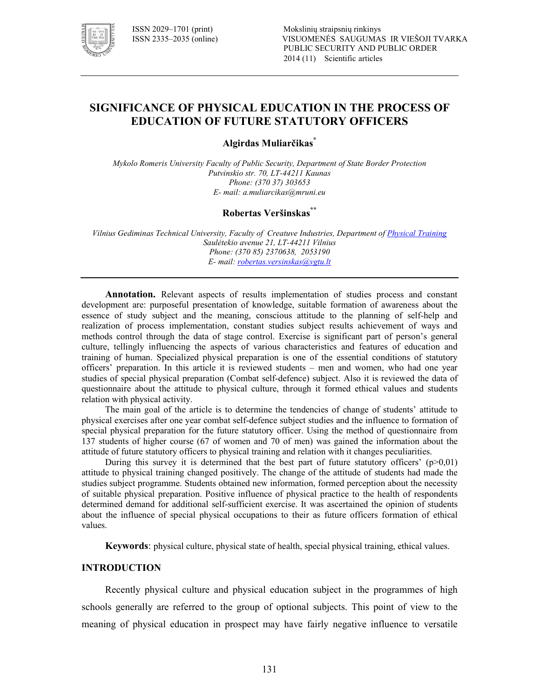

# **SIGNIFICANCE OF PHYSICAL EDUCATION IN THE PROCESS OF EDUCATION OF FUTURE STATUTORY OFFICERS**

**Algirdas Muliarčikas\*** 

*Mykolo Romeris University Faculty of Public Security, Department of State Border Protection Putvinskio str. 70, LT-44211 Kaunas Phone: (370 37) 303653 E! mail: a.muliarcikas@mruni.eu* 

# **Robertas Veršinskas\*\***

*Vilnius Gediminas Technical University, Faculty of Creatuve Industries, Department of Physical Training* Saulėtekio avenue 21, LT-44211 Vilnius *Phone: (370 85) 2370638, 2053190 E! mail: robertas.versinskas@vgtu.lt*

**Annotation.** Relevant aspects of results implementation of studies process and constant development are: purposeful presentation of knowledge, suitable formation of awareness about the essence of study subject and the meaning, conscious attitude to the planning of self-help and realization of process implementation, constant studies subject results achievement of ways and methods control through the data of stage control. Exercise is significant part of person's general culture, tellingly influencing the aspects of various characteristics and features of education and training of human. Specialized physical preparation is one of the essential conditions of statutory officers' preparation. In this article it is reviewed students – men and women, who had one year studies of special physical preparation (Combat self-defence) subject. Also it is reviewed the data of questionnaire about the attitude to physical culture, through it formed ethical values and students relation with physical activity.

The main goal of the article is to determine the tendencies of change of students' attitude to physical exercises after one year combat self-defence subject studies and the influence to formation of special physical preparation for the future statutory officer. Using the method of questionnaire from 137 students of higher course (67 of women and 70 of men) was gained the information about the attitude of future statutory officers to physical training and relation with it changes peculiarities.

During this survey it is determined that the best part of future statutory officers'  $(p>0,01)$ attitude to physical training changed positively. The change of the attitude of students had made the studies subject programme. Students obtained new information, formed perception about the necessity of suitable physical preparation. Positive influence of physical practice to the health of respondents determined demand for additional self-sufficient exercise. It was ascertained the opinion of students about the influence of special physical occupations to their as future officers formation of ethical values.

**Keywords**: physical culture, physical state of health, special physical training, ethical values.

### **INTRODUCTION**

Recently physical culture and physical education subject in the programmes of high schools generally are referred to the group of optional subjects. This point of view to the meaning of physical education in prospect may have fairly negative influence to versatile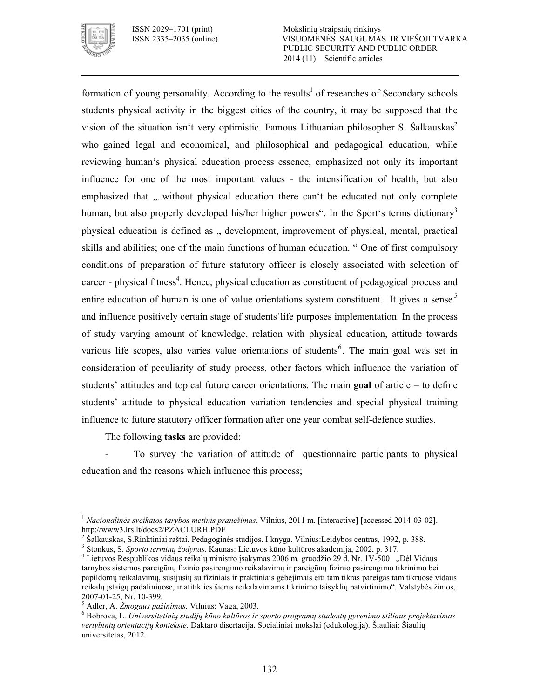

ISSN 2029–1701 (print) Mokslinių straipsnių rinkinys VISUOMENĖS SAUGUMAS IR VIEŠOJI TVARKA PUBLIC SECURITY AND PUBLIC ORDER 2014 (11) Scientific articles

formation of young personality. According to the results<sup>1</sup> of researches of Secondary schools students physical activity in the biggest cities of the country, it may be supposed that the vision of the situation isn't very optimistic. Famous Lithuanian philosopher S. Šalkauskas<sup>2</sup> who gained legal and economical, and philosophical and pedagogical education, while reviewing human's physical education process essence, emphasized not only its important influence for one of the most important values - the intensification of health, but also emphasized that ....without physical education there can't be educated not only complete human, but also properly developed his/her higher powers". In the Sport's terms dictionary<sup>3</sup> physical education is defined as ., development, improvement of physical, mental, practical skills and abilities; one of the main functions of human education. " One of first compulsory conditions of preparation of future statutory officer is closely associated with selection of career - physical fitness<sup>4</sup>. Hence, physical education as constituent of pedagogical process and entire education of human is one of value orientations system constituent. It gives a sense  $5$ and influence positively certain stage of students'life purposes implementation. In the process of study varying amount of knowledge, relation with physical education, attitude towards various life scopes, also varies value orientations of students<sup>6</sup>. The main goal was set in consideration of peculiarity of study process, other factors which influence the variation of students' attitudes and topical future career orientations. The main **goal** of article – to define students' attitude to physical education variation tendencies and special physical training influence to future statutory officer formation after one year combat self-defence studies.

The following **tasks** are provided:

 To survey the variation of attitude of questionnaire participants to physical education and the reasons which influence this process;

 $\overline{a}$ <sup>1</sup> Nacionalinės sveikatos tarybos metinis pranešimas. Vilnius, 2011 m. [interactive] [accessed 2014-03-02]. http://www3.lrs.lt/docs2/PZACLURH.PDF

<sup>&</sup>lt;sup>2</sup> Šalkauskas, S.Rinktiniai raštai. Pedagoginės studijos. I knyga. Vilnius:Leidybos centras, 1992, p. 388.

<sup>3</sup> Stonkus, S. *Sporto terminų žodynas*. Kaunas: Lietuvos kūno kultūros akademija, 2002, p. 317.

<sup>&</sup>lt;sup>4</sup> Lietuvos Respublikos vidaus reikalų ministro įsakymas 2006 m. gruodžio 29 d. Nr. 1V-500 "Dėl Vidaus tarnybos sistemos pareigūnų fizinio pasirengimo reikalavimų ir pareigūnų fizinio pasirengimo tikrinimo bei papildomų reikalavimų, susijusių su fiziniais ir praktiniais gebėjimais eiti tam tikras pareigas tam tikruose vidaus reikalų įstaigų padaliniuose, ir atitikties šiems reikalavimams tikrinimo taisyklių patvirtinimo". Valstybės žinios, 2007-01-25, Nr. 10-399.

<sup>5</sup> Adler, A. *Žmogaus pažinimas.* Vilnius: Vaga, 2003.

<sup>6</sup> Bobrova, L. *Universitetinių studijų kūno kultūros ir sporto programų studentų gyvenimo stiliaus projektavimas vertybinių orientacijų kontekste.* Daktaro disertacija. Socialiniai mokslai (edukologija). Šiauliai: Šiaulių universitetas, 2012.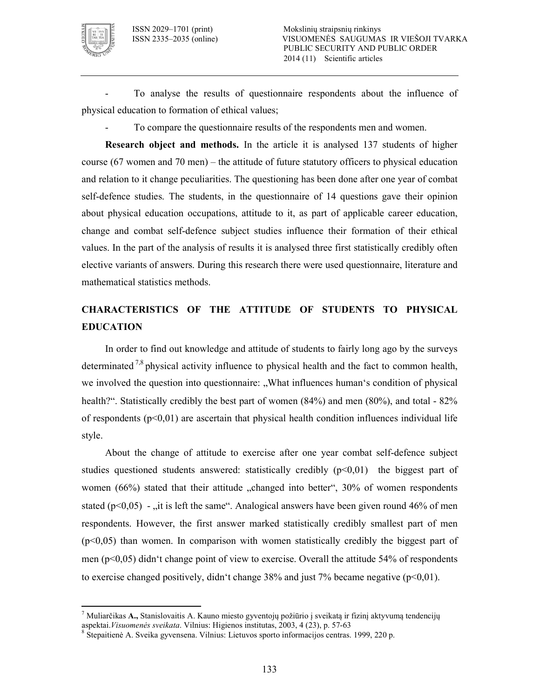

 $\overline{a}$ 

 To analyse the results of questionnaire respondents about the influence of physical education to formation of ethical values;

To compare the questionnaire results of the respondents men and women.

**Research object and methods.** In the article it is analysed 137 students of higher course (67 women and 70 men) – the attitude of future statutory officers to physical education and relation to it change peculiarities. The questioning has been done after one year of combat self-defence studies. The students, in the questionnaire of 14 questions gave their opinion about physical education occupations, attitude to it, as part of applicable career education, change and combat self-defence subject studies influence their formation of their ethical values. In the part of the analysis of results it is analysed three first statistically credibly often elective variants of answers. During this research there were used questionnaire, literature and mathematical statistics methods.

# **CHARACTERISTICS OF THE ATTITUDE OF STUDENTS TO PHYSICAL EDUCATION**

In order to find out knowledge and attitude of students to fairly long ago by the surveys determinated  $\frac{7}{8}$  physical activity influence to physical health and the fact to common health, we involved the question into questionnaire: "What influences human's condition of physical health?". Statistically credibly the best part of women  $(84%)$  and men  $(80%)$ , and total  $-82%$ of respondents  $(p<0,01)$  are ascertain that physical health condition influences individual life style.

About the change of attitude to exercise after one year combat self-defence subject studies questioned students answered: statistically credibly  $(p<0,01)$  the biggest part of women  $(66%)$  stated that their attitude  $\alpha$ , changed into better", 30% of women respondents stated ( $p<0.05$ ) - , it is left the same". Analogical answers have been given round 46% of men respondents. However, the first answer marked statistically credibly smallest part of men  $(p<0.05)$  than women. In comparison with women statistically credibly the biggest part of men ( $p<0.05$ ) didn't change point of view to exercise. Overall the attitude 54% of respondents to exercise changed positively, didn't change  $38\%$  and just 7% became negative ( $p<0,01$ ).

<sup>7</sup> Muliarčikas **A.,** Stanislovaitis A. Kauno miesto gyventojų požiūrio į sveikatą ir fizinį aktyvumą tendencijų aspektai. Visuomenės sveikata. Vilnius: Higienos institutas, 2003, 4 (23), p. 57-63

<sup>&</sup>lt;sup>8</sup> Stepaitienė A. Sveika gyvensena. Vilnius: Lietuvos sporto informacijos centras. 1999, 220 p.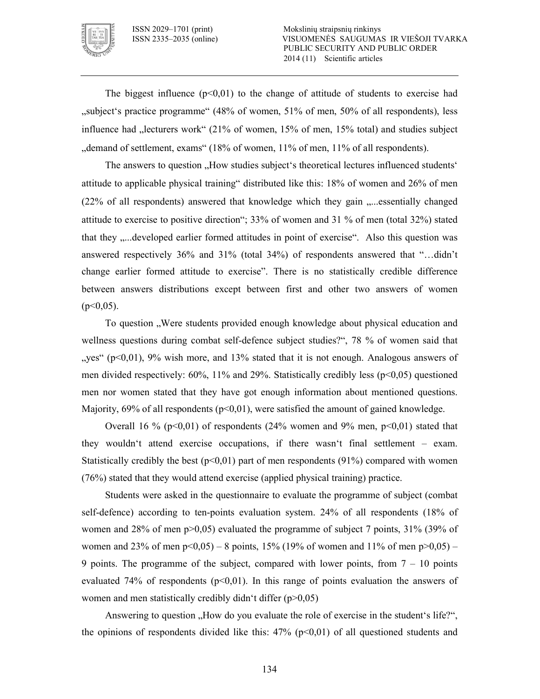

The biggest influence  $(p<0,01)$  to the change of attitude of students to exercise had ,,subject's practice programme" (48% of women, 51% of men, 50% of all respondents), less influence had  $\mu$  lecturers work" (21% of women, 15% of men, 15% total) and studies subject "demand of settlement, exams" (18% of women, 11% of men, 11% of all respondents).

The answers to question "How studies subject's theoretical lectures influenced students" attitude to applicable physical training" distributed like this: 18% of women and 26% of men (22% of all respondents) answered that knowledge which they gain "...essentially changed attitude to exercise to positive direction"; 33% of women and 31 % of men (total 32%) stated that they .....developed earlier formed attitudes in point of exercise". Also this question was answered respectively 36% and 31% (total 34%) of respondents answered that "…didn't change earlier formed attitude to exercise". There is no statistically credible difference between answers distributions except between first and other two answers of women  $(p<0.05)$ .

To question "Were students provided enough knowledge about physical education and wellness questions during combat self-defence subject studies?", 78 % of women said that "yes" ( $p<0,01$ ), 9% wish more, and 13% stated that it is not enough. Analogous answers of men divided respectively:  $60\%$ ,  $11\%$  and  $29\%$ . Statistically credibly less (p<0,05) questioned men nor women stated that they have got enough information about mentioned questions. Majority,  $69\%$  of all respondents ( $p<0.01$ ), were satisfied the amount of gained knowledge.

Overall 16 % ( $p<0,01$ ) of respondents (24% women and 9% men,  $p<0,01$ ) stated that they wouldn't attend exercise occupations, if there wasn't final settlement – exam. Statistically credibly the best  $(p<0,01)$  part of men respondents  $(91%)$  compared with women (76%) stated that they would attend exercise (applied physical training) practice.

Students were asked in the questionnaire to evaluate the programme of subject (combat self-defence) according to ten-points evaluation system. 24% of all respondents  $(18%$  of women and 28% of men p>0,05) evaluated the programme of subject 7 points, 31% (39% of women and 23% of men  $p<0.05$ ) – 8 points, 15% (19% of women and 11% of men  $p>0.05$ ) – 9 points. The programme of the subject, compared with lower points, from  $7 - 10$  points evaluated 74% of respondents ( $p<0,01$ ). In this range of points evaluation the answers of women and men statistically credibly didn't differ (p>0,05)

Answering to question . How do you evaluate the role of exercise in the student's life?", the opinions of respondents divided like this:  $47\%$  (p<0,01) of all questioned students and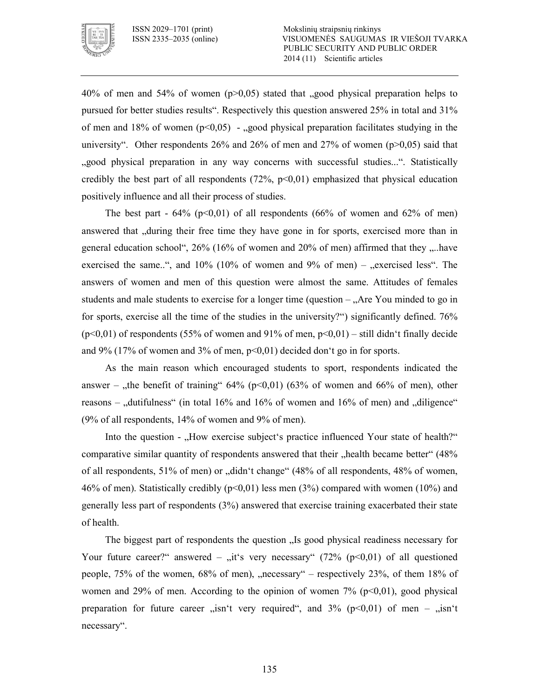

40% of men and 54% of women ( $p>0.05$ ) stated that , good physical preparation helps to pursued for better studies results". Respectively this question answered 25% in total and 31% of men and 18% of women  $(p<0.05)$  - good physical preparation facilitates studying in the university". Other respondents 26% and 26% of men and 27% of women  $(p>0,05)$  said that "good physical preparation in any way concerns with successful studies...". Statistically credibly the best part of all respondents  $(72\%, p<0.01)$  emphasized that physical education positively influence and all their process of studies.

The best part  $-64\%$  (p<0,01) of all respondents (66% of women and 62% of men) answered that "during their free time they have gone in for sports, exercised more than in general education school",  $26\%$  (16% of women and  $20\%$  of men) affirmed that they  $\ldots$  have exercised the same..", and  $10\%$  ( $10\%$  of women and  $9\%$  of men) – "exercised less". The answers of women and men of this question were almost the same. Attitudes of females students and male students to exercise for a longer time (question  $\Delta$ re You minded to go in for sports, exercise all the time of the studies in the university?") significantly defined. 76%  $(p<0,01)$  of respondents (55% of women and 91% of men,  $p<0,01$ ) – still didn't finally decide and 9% (17% of women and 3% of men,  $p<0.01$ ) decided don't go in for sports.

As the main reason which encouraged students to sport, respondents indicated the answer – "the benefit of training"  $64\%$  (p<0,01) (63% of women and 66% of men), other reasons – "dutifulness" (in total  $16\%$  and  $16\%$  of women and  $16\%$  of men) and "diligence" (9% of all respondents, 14% of women and 9% of men).

Into the question - "How exercise subject's practice influenced Your state of health?" comparative similar quantity of respondents answered that their "health became better" (48%) of all respondents, 51% of men) or "didn't change" (48% of all respondents, 48% of women, 46% of men). Statistically credibly  $(p<0.01)$  less men (3%) compared with women (10%) and generally less part of respondents (3%) answered that exercise training exacerbated their state of health.

The biggest part of respondents the question . Is good physical readiness necessary for Your future career?" answered – "it's very necessary" (72% ( $p<0,01$ ) of all questioned people,  $75\%$  of the women,  $68\%$  of men), "necessary" – respectively  $23\%$ , of them  $18\%$  of women and 29% of men. According to the opinion of women  $7\%$  (p<0,01), good physical preparation for future career  $\sin^2 t$  very required", and 3% (p<0,01) of men –  $\sin^2 t$ necessary".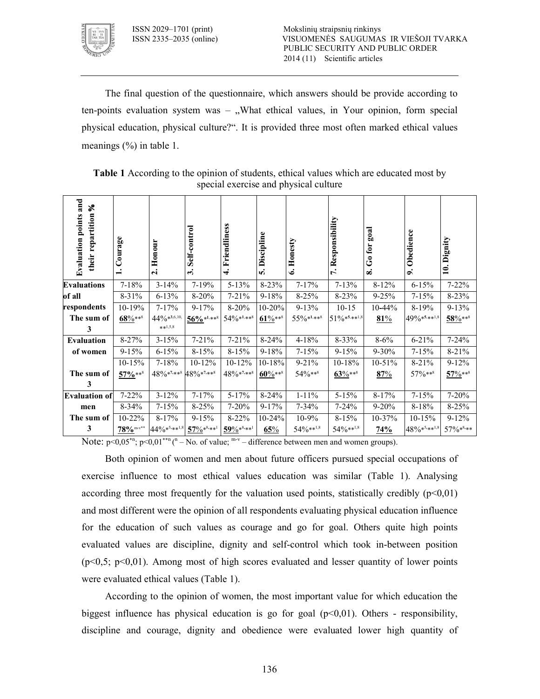

The final question of the questionnaire, which answers should be provide according to ten-points evaluation system was  $-$ , What ethical values, in Your opinion, form special physical education, physical culture?". It is provided three most often marked ethical values meanings (%) in table 1.

| and<br>S,<br>their repartition<br><b>Evaluation points</b> | Courage<br>$\div$       | Honour<br>$\dot{\mathbf{c}}$ | Self-control<br>ത്. | Friendliness<br>$\div$ | Discipline<br>νó, | Honesty<br>ق    | Responsibility<br>$\mathbf{r}$ | goal<br>$\rm{Go~for}$<br>∞ | Obedience<br>o. | Dignity<br>$\ddot{=}$ |
|------------------------------------------------------------|-------------------------|------------------------------|---------------------|------------------------|-------------------|-----------------|--------------------------------|----------------------------|-----------------|-----------------------|
| <b>Evaluations</b>                                         | $7 - 18%$               | $3 - 14%$                    | $7 - 19%$           | $5 - 13%$              | 8-23%             | $7 - 17\%$      | $7 - 13%$                      | $8 - 12%$                  | $6 - 15%$       | $7 - 22%$             |
| of all                                                     | $8 - 31\%$              | $6 - 13%$                    | $8 - 20%$           | $7 - 21%$              | $9 - 18%$         | $8 - 25%$       | $8 - 23%$                      | $9 - 25%$                  | $7 - 15%$       | $8 - 23%$             |
| respondents                                                | 10-19%                  | $7 - 17%$                    | $9 - 17%$           | $8 - 20%$              | $10 - 20%$        | $9 - 13%$       | $10 - 15$                      | $10 - 44%$                 | $8 - 19%$       | $9 - 13%$             |
| The sum of                                                 | $68\%***$               | $44\%$ *3,6,10,              | $56\%$ *1,**8       | $54\%***$              | $61\%***$         | $55\%$ *1,**8   | $51\%***^{1,8}$                | 81%                        | $49\%***^{1,8}$ | $58\%***$             |
| 3                                                          |                         | $**1,5,8$                    |                     |                        |                   |                 |                                |                            |                 |                       |
| <b>Evaluation</b>                                          | 8-27%                   | $3 - 15%$                    | $7 - 21%$           | $7 - 21%$              | $8 - 24%$         | 4-18%           | $8 - 33%$                      | $8 - 6\%$                  | $6 - 21%$       | $7 - 24%$             |
| of women                                                   | $9 - 15%$               | $6 - 15%$                    | $8 - 15%$           | $8 - 15%$              | $9 - 18%$         | $7 - 15%$       | $9 - 15%$                      | $9 - 30\%$                 | $7 - 15%$       | $8 - 21\%$            |
|                                                            | $10-15%$                | $7 - 18%$                    | $10 - 12%$          | $10 - 12%$             | $10 - 18%$        | $9 - 21%$       | $10-18%$                       | $10-51%$                   | $8 - 21%$       | $9 - 12%$             |
| The sum of                                                 | 57%***                  | $48\%$ *7,**8 $48\%$ *7,**8  |                     | $48\%***$              | $60\%***8$        | 54%***          | $63\%***8$                     | 87%                        | 57%**8          | $57\%***$             |
| 3                                                          |                         |                              |                     |                        |                   |                 |                                |                            |                 |                       |
| <b>Evaluation of</b>                                       | $7 - 22%$               | $3 - 12%$                    | $7 - 17%$           | $5 - 17%$              | $8 - 24%$         | $1 - 11\%$      | $5 - 15%$                      | $8 - 17%$                  | $7 - 15%$       | $7 - 20%$             |
| men                                                        | $8 - 34%$               | $7 - 15%$                    | $8 - 25%$           | $7 - 20%$              | $9 - 17%$         | $7 - 34\%$      | $7 - 24%$                      | $9 - 20%$                  | $8 - 18%$       | 8-25%                 |
| The sum of                                                 | $10 - 22%$              | $8 - 17%$                    | $9 - 15%$           | $8 - 22%$              | $10 - 24%$        | $10-9%$         | $8 - 15%$                      | $10-37%$                   | $10-15%$        | $9 - 12%$             |
| 3                                                          | $78\%$ <sup>m-v**</sup> | $44\%$ *5,**1,8              | $57\%***1$          | $59\%***1$             | 65%               | $54\%***^{1,8}$ | $54\%***^{1,8}$                | 74%                        | 48%*5,**1,8     | 57%*8,**              |

**Table 1** According to the opinion of students, ethical values which are educated most by special exercise and physical culture

Note:  $p<0.05^{*n}$ ;  $p<0.01^{**n}$  (<sup>n</sup> – No. of value; <sup>m-v</sup> – difference between men and women groups).

Both opinion of women and men about future officers pursued special occupations of exercise influence to most ethical values education was similar (Table 1). Analysing according three most frequently for the valuation used points, statistically credibly  $(p<0.01)$ and most different were the opinion of all respondents evaluating physical education influence for the education of such values as courage and go for goal. Others quite high points evaluated values are discipline, dignity and self-control which took in-between position  $(p<0.5; p<0.01)$ . Among most of high scores evaluated and lesser quantity of lower points were evaluated ethical values (Table 1).

According to the opinion of women, the most important value for which education the biggest influence has physical education is go for goal  $(p<0.01)$ . Others - responsibility, discipline and courage, dignity and obedience were evaluated lower high quantity of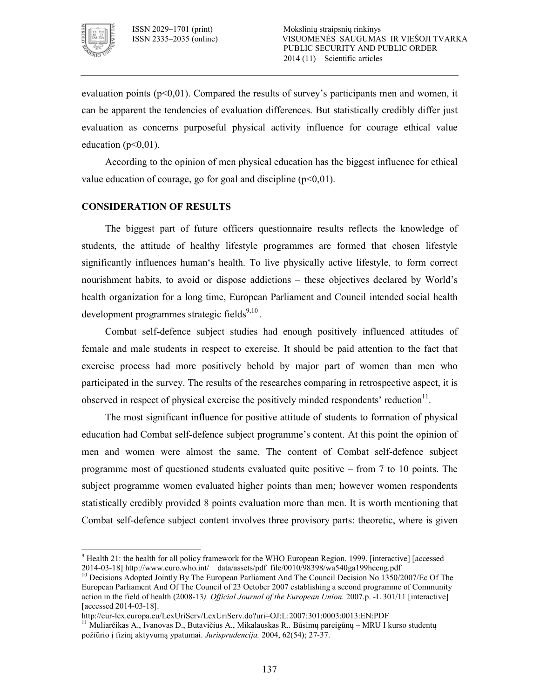

evaluation points ( $p<0,01$ ). Compared the results of survey's participants men and women, it can be apparent the tendencies of evaluation differences. But statistically credibly differ just evaluation as concerns purposeful physical activity influence for courage ethical value education ( $p<0,01$ ).

According to the opinion of men physical education has the biggest influence for ethical value education of courage, go for goal and discipline  $(p<0,01)$ .

# **CONSIDERATION OF RESULTS**

The biggest part of future officers questionnaire results reflects the knowledge of students, the attitude of healthy lifestyle programmes are formed that chosen lifestyle significantly influences human's health. To live physically active lifestyle, to form correct nourishment habits, to avoid or dispose addictions – these objectives declared by World's health organization for a long time, European Parliament and Council intended social health development programmes strategic fields $9,10$ .

Combat self-defence subject studies had enough positively influenced attitudes of female and male students in respect to exercise. It should be paid attention to the fact that exercise process had more positively behold by major part of women than men who participated in the survey. The results of the researches comparing in retrospective aspect, it is observed in respect of physical exercise the positively minded respondents' reduction $11$ .

The most significant influence for positive attitude of students to formation of physical education had Combat self-defence subject programme's content. At this point the opinion of men and women were almost the same. The content of Combat self-defence subject programme most of questioned students evaluated quite positive – from 7 to 10 points. The subject programme women evaluated higher points than men; however women respondents statistically credibly provided 8 points evaluation more than men. It is worth mentioning that Combat self-defence subject content involves three provisory parts: theoretic, where is given

<sup>&</sup>lt;sup>9</sup> Health 21: the health for all policy framework for the WHO European Region. 1999. [interactive] [accessed 2014-03-18] http://www.euro.who.int/\_data/assets/pdf\_file/0010/98398/wa540ga199heeng.pdf

<sup>&</sup>lt;sup>10</sup> Decisions Adopted Jointly By The European Parliament And The Council Decision No 1350/2007/Ec Of The European Parliament And Of The Council of 23 October 2007 establishing a second programme of Community action in the field of health (2008-13). *Official Journal of the European Union*. 2007.p. -L 301/11 [interactive] [accessed 2014-03-18].

http://eurlex.europa.eu/LexUriServ/LexUriServ.do?uri=OJ:L:2007:301:0003:0013:EN:PDF

<sup>&</sup>lt;sup>11</sup> Muliarčikas A., Ivanovas D., Butavičius A., Mikalauskas R.. Būsimų pareigūnų – MRU I kurso studentų požiūrio į fizinį aktyvumą ypatumai. Jurisprudencija. 2004, 62(54); 27-37.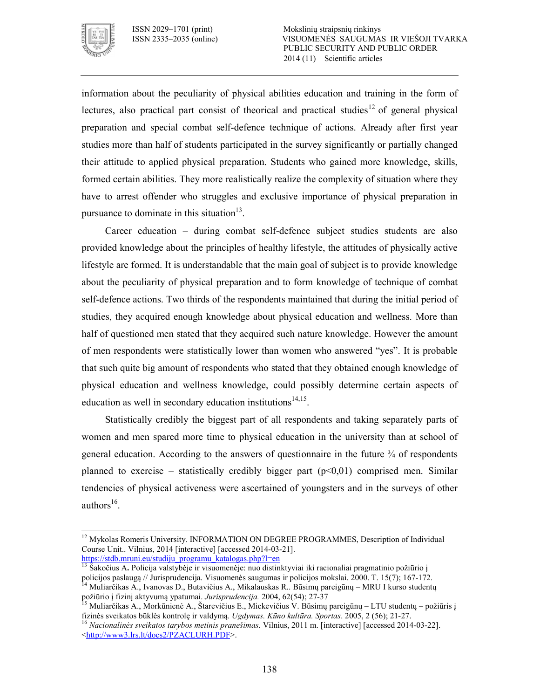

information about the peculiarity of physical abilities education and training in the form of lectures, also practical part consist of theorical and practical studies<sup>12</sup> of general physical preparation and special combat self-defence technique of actions. Already after first year studies more than half of students participated in the survey significantly or partially changed their attitude to applied physical preparation. Students who gained more knowledge, skills, formed certain abilities. They more realistically realize the complexity of situation where they have to arrest offender who struggles and exclusive importance of physical preparation in pursuance to dominate in this situation $13$ .

Career education – during combat self-defence subject studies students are also provided knowledge about the principles of healthy lifestyle, the attitudes of physically active lifestyle are formed. It is understandable that the main goal of subject is to provide knowledge about the peculiarity of physical preparation and to form knowledge of technique of combat self-defence actions. Two thirds of the respondents maintained that during the initial period of studies, they acquired enough knowledge about physical education and wellness. More than half of questioned men stated that they acquired such nature knowledge. However the amount of men respondents were statistically lower than women who answered "yes". It is probable that such quite big amount of respondents who stated that they obtained enough knowledge of physical education and wellness knowledge, could possibly determine certain aspects of education as well in secondary education institutions<sup>14,15</sup>.

Statistically credibly the biggest part of all respondents and taking separately parts of women and men spared more time to physical education in the university than at school of general education. According to the answers of questionnaire in the future  $\frac{3}{4}$  of respondents planned to exercise – statistically credibly bigger part  $(p<0,01)$  comprised men. Similar tendencies of physical activeness were ascertained of youngsters and in the surveys of other authors $^{16}$ .

 $\overline{a}$ <sup>12</sup> Mykolas Romeris University. INFORMATION ON DEGREE PROGRAMMES, Description of Individual Course Unit.. Vilnius, 2014 [interactive] [accessed 2014-03-21]. https://stdb.mruni.eu/studiju\_programu\_katalogas.php?l=en

<sup>&</sup>lt;sup>13</sup> Šakočius A. Policija valstybėje ir visuomenėje: nuo distinktyviai iki racionaliai pragmatinio požiūrio į policijos paslaugą // Jurisprudencija. Visuomenės saugumas ir policijos mokslai. 2000. T. 15(7); 167-172. <sup>14</sup> Muliarčikas A., Ivanovas D., Butavičius A., Mikalauskas R.. Būsimų pareigūnų – MRU I kurso studentų

požiūrio į fizinį aktyvumą ypatumai. *Jurisprudencija.* 2004, 62(54); 2737

<sup>15</sup> Muliarčikas A., Morkūnienė A., Štarevičius E., Mickevičius V. Būsimų pareigūnų – LTU studentų – požiūris į fizinės sveikatos būklės kontrolę ir valdymą. *Ugdymas. Kūno kultūra. Sportas*. 2005, 2 (56); 21-27.

<sup>&</sup>lt;sup>16</sup> Nacionalinės sveikatos tarybos metinis pranešimas. Vilnius, 2011 m. [interactive] [accessed 2014-03-22]. <http://www3.lrs.lt/docs2/PZACLURH.PDF>.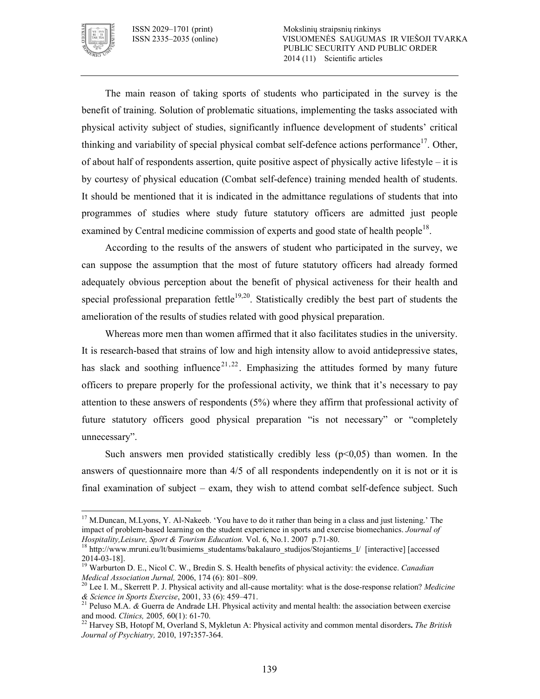

The main reason of taking sports of students who participated in the survey is the benefit of training. Solution of problematic situations, implementing the tasks associated with physical activity subject of studies, significantly influence development of students' critical thinking and variability of special physical combat self-defence actions performance<sup>17</sup>. Other, of about half of respondents assertion, quite positive aspect of physically active lifestyle – it is by courtesy of physical education (Combat self-defence) training mended health of students. It should be mentioned that it is indicated in the admittance regulations of students that into programmes of studies where study future statutory officers are admitted just people examined by Central medicine commission of experts and good state of health people<sup>18</sup>.

According to the results of the answers of student who participated in the survey, we can suppose the assumption that the most of future statutory officers had already formed adequately obvious perception about the benefit of physical activeness for their health and special professional preparation fettle<sup>19,20</sup>. Statistically credibly the best part of students the amelioration of the results of studies related with good physical preparation.

Whereas more men than women affirmed that it also facilitates studies in the university. It is research-based that strains of low and high intensity allow to avoid antidepressive states, has slack and soothing influence<sup>21, 22</sup>. Emphasizing the attitudes formed by many future officers to prepare properly for the professional activity, we think that it's necessary to pay attention to these answers of respondents (5%) where they affirm that professional activity of future statutory officers good physical preparation "is not necessary" or "completely unnecessary".

Such answers men provided statistically credibly less  $(p<0.05)$  than women. In the answers of questionnaire more than 4/5 of all respondents independently on it is not or it is final examination of subject  $-$  exam, they wish to attend combat self-defence subject. Such

 $\overline{a}$ <sup>17</sup> M.Duncan, M.Lyons, Y. Al-Nakeeb. 'You have to do it rather than being in a class and just listening.' The impact of problem-based learning on the student experience in sports and exercise biomechanics. *Journal of Hospitality, Leisure, Sport & Tourism Education.* Vol. 6, No.1. 2007 p.71-80.

<sup>18</sup> http://www.mruni.eu/lt/busimiems\_studentams/bakalauro\_studijos/Stojantiems\_I/ [interactive] [accessed 20140318].

<sup>19</sup> Warburton D. E., Nicol C. W., Bredin S. S. Health benefits of physical activity: the evidence. *Canadian Medical Association Jurnal,* 2006, 174 (6): 801–809.

<sup>&</sup>lt;sup>20</sup> Lee I. M., Skerrett P. J. Physical activity and all-cause mortality: what is the dose-response relation? *Medicine & Science in Sports Exercise*, 2001, 33 (6): 459–471.

<sup>21</sup> Peluso M.A. *&* Guerra de Andrade LH. Physical activity and mental health: the association between exercise and mood. *Clinics*, 2005, 60(1): 61-70.

<sup>22</sup> Harvey SB, Hotopf M, Overland S, Mykletun A: Physical activity and common mental disorders**.** *The British Journal of Psychiatry,* 2010, 197**:**357364.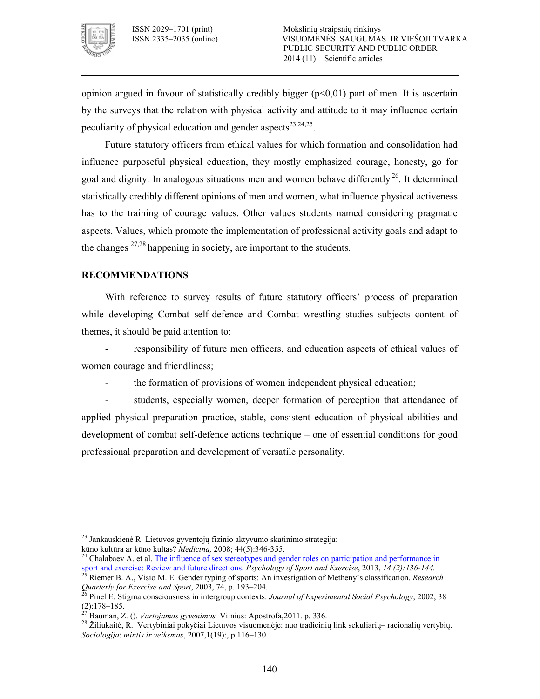

opinion argued in favour of statistically credibly bigger  $(p<0.01)$  part of men. It is ascertain by the surveys that the relation with physical activity and attitude to it may influence certain peculiarity of physical education and gender aspects<sup>23,24,25</sup>.

Future statutory officers from ethical values for which formation and consolidation had influence purposeful physical education, they mostly emphasized courage, honesty, go for goal and dignity. In analogous situations men and women behave differently<sup>26</sup>. It determined statistically credibly different opinions of men and women, what influence physical activeness has to the training of courage values. Other values students named considering pragmatic aspects. Values, which promote the implementation of professional activity goals and adapt to the changes  $27,28$  happening in society, are important to the students.

# **RECOMMENDATIONS**

With reference to survey results of future statutory officers' process of preparation while developing Combat self-defence and Combat wrestling studies subjects content of themes, it should be paid attention to:

 responsibility of future men officers, and education aspects of ethical values of women courage and friendliness;

the formation of provisions of women independent physical education;

 students, especially women, deeper formation of perception that attendance of applied physical preparation practice, stable, consistent education of physical abilities and development of combat self-defence actions technique – one of essential conditions for good professional preparation and development of versatile personality.

 $\overline{a}$ <sup>23</sup> Jankauskienė R. Lietuvos gyventojų fizinio aktyvumo skatinimo strategija: kūno kultūra ar kūno kultas? *Medicina,* 2008; 44(5):346355.

Chalabaev A. et al. The influence of sex stereotypes and gender roles on participation and performance in sport and exercise: Review and future directions. *Psychology of Sport and Exercise*, 2013, *14 (2):136!144.*

<sup>25</sup> Riemer B. A., Visio M. E. Gender typing of sports: An investigation of Metheny's classification. *Research Quarterly for Exercise and Sport*, 2003, 74, p. 193–204.

<sup>26</sup> Pinel E. Stigma consciousness in intergroup contexts. *Journal of Experimental Social Psychology*, 2002, 38  $(2):178-185.$ 

<sup>27</sup> Bauman, Z. (). *Vartojamas gyvenimas.* Vilnius: Apostrofa,2011. p. 336.

<sup>28</sup> Žiliukaitė, R. Vertybiniai pokyčiai Lietuvos visuomenėje: nuo tradicinių link sekuliarių– racionalių vertybių. *Sociologija*: *mintis ir veiksmas*, 2007,1(19):, p.116–130.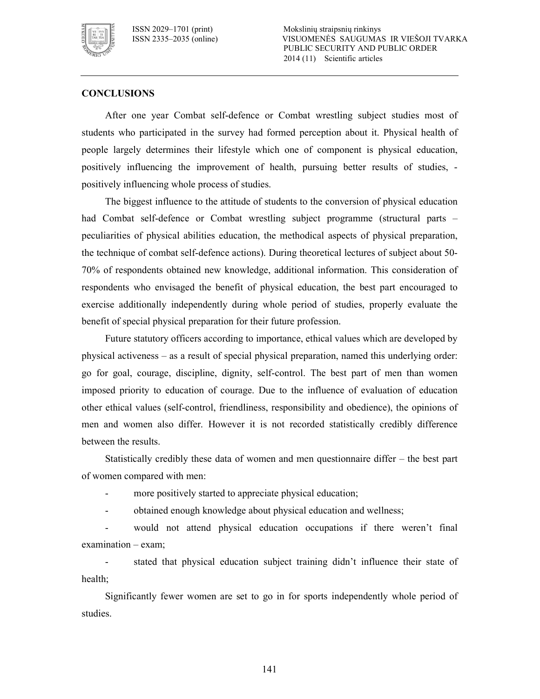

# **CONCLUSIONS**

After one year Combat self-defence or Combat wrestling subject studies most of students who participated in the survey had formed perception about it. Physical health of people largely determines their lifestyle which one of component is physical education, positively influencing the improvement of health, pursuing better results of studies, positively influencing whole process of studies.

The biggest influence to the attitude of students to the conversion of physical education had Combat self-defence or Combat wrestling subject programme (structural parts – peculiarities of physical abilities education, the methodical aspects of physical preparation, the technique of combat self-defence actions). During theoretical lectures of subject about 50-70% of respondents obtained new knowledge, additional information. This consideration of respondents who envisaged the benefit of physical education, the best part encouraged to exercise additionally independently during whole period of studies, properly evaluate the benefit of special physical preparation for their future profession.

Future statutory officers according to importance, ethical values which are developed by physical activeness – as a result of special physical preparation, named this underlying order: go for goal, courage, discipline, dignity, self-control. The best part of men than women imposed priority to education of courage. Due to the influence of evaluation of education other ethical values (self-control, friendliness, responsibility and obedience), the opinions of men and women also differ. However it is not recorded statistically credibly difference between the results.

Statistically credibly these data of women and men questionnaire differ – the best part of women compared with men:

- more positively started to appreciate physical education;
- obtained enough knowledge about physical education and wellness;

 would not attend physical education occupations if there weren't final examination – exam;

 stated that physical education subject training didn't influence their state of health;

Significantly fewer women are set to go in for sports independently whole period of studies.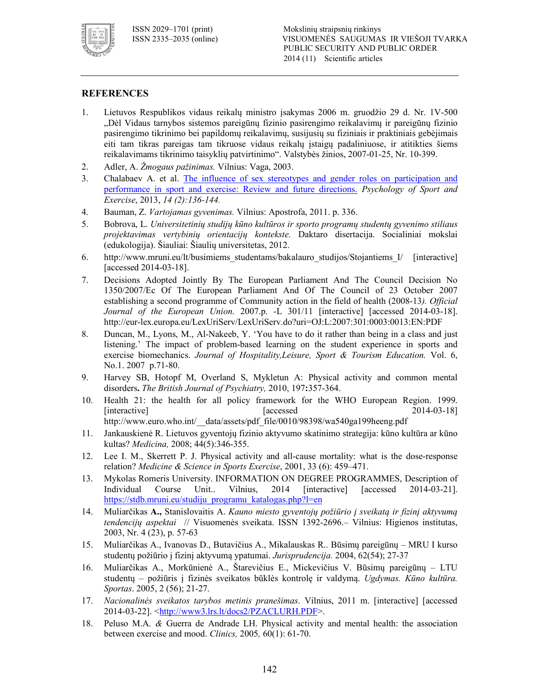

# **REFERENCES**

- 1. Lietuvos Respublikos vidaus reikalų ministro įsakymas 2006 m. gruodžio 29 d. Nr. 1V-500 "Dėl Vidaus tarnybos sistemos pareigūnų fizinio pasirengimo reikalavimų ir pareigūnų fizinio pasirengimo tikrinimo bei papildomų reikalavimų, susijusių su fiziniais ir praktiniais gebėjimais eiti tam tikras pareigas tam tikruose vidaus reikalų įstaigų padaliniuose, ir atitikties šiems reikalavimams tikrinimo taisyklių patvirtinimo". Valstybės žinios, 2007-01-25, Nr. 10-399.
- 2. Adler, A. *Žmogaus pažinimas.* Vilnius: Vaga, 2003.
- 3. Chalabaev A. et al. The influence of sex stereotypes and gender roles on participation and performance in sport and exercise: Review and future directions. *Psychology of Sport and Exercise*, 2013, *14 (2):136-144.*
- 4. Bauman, Z. *Vartojamas gyvenimas.* Vilnius: Apostrofa, 2011. p. 336.
- 5. Bobrova, L. *Universitetinių studijų kūno kultūros ir sporto programų studentų gyvenimo stiliaus projektavimas vertybinių orientacijų kontekste.* Daktaro disertacija. Socialiniai mokslai (edukologija). Šiauliai: Šiaulių universitetas, 2012.
- 6. http://www.mruni.eu/lt/busimiems\_studentams/bakalauro\_studijos/Stojantiems\_I/ [interactive]  $[accessed 2014-03-18]$ .
- 7. Decisions Adopted Jointly By The European Parliament And The Council Decision No 1350/2007/Ec Of The European Parliament And Of The Council of 23 October 2007 establishing a second programme of Community action in the field of health (2008-13). Official *Journal of the European Union.* 2007.p. -L 301/11 [interactive] [accessed 2014-03-18]. http://eur-lex.europa.eu/LexUriServ/LexUriServ.do?uri=OJ:L:2007:301:0003:0013:EN:PDF
- 8. Duncan, M., Lyons, M., Al-Nakeeb, Y. 'You have to do it rather than being in a class and just listening.' The impact of problem-based learning on the student experience in sports and exercise biomechanics. *Journal of Hospitality,Leisure, Sport & Tourism Education.* Vol. 6, No.1. 2007 p.71-80.
- 9. Harvey SB, Hotopf M, Overland S, Mykletun A: Physical activity and common mental disorders. *The British Journal of Psychiatry*, 2010, 197:357-364.
- 10. Health 21: the health for all policy framework for the WHO European Region. 1999. [interactive] [accessed 2014-03-18] http://www.euro.who.int/\_data/assets/pdf\_file/0010/98398/wa540ga199heeng.pdf
- 11. Jankauskienė R. Lietuvos gyventojų fizinio aktyvumo skatinimo strategija: kūno kultūra ar kūno kultas? *Medicina*, 2008; 44(5):346-355.
- 12. Lee I. M., Skerrett P. J. Physical activity and all-cause mortality: what is the dose-response relation? *Medicine & Science in Sports Exercise*, 2001, 33 (6): 459–471.
- 13. Mykolas Romeris University. INFORMATION ON DEGREE PROGRAMMES, Description of Individual Course Unit.. Vilnius, 2014 [interactive] [accessed 2014-03-21]. https://stdb.mruni.eu/studiju\_programu\_katalogas.php?l=en
- 14. Muliarčikas **A.,** Stanislovaitis A. *Kauno miesto gyventojų požiūrio į sveikatą ir fizinį aktyvumą tendencijų aspektai* // Visuomenės sveikata. ISSN 13922696.– Vilnius: Higienos institutas, 2003, Nr. 4 (23), p. 57-63
- 15. Muliarčikas A., Ivanovas D., Butavičius A., Mikalauskas R.. Būsimų pareigūnų MRU I kurso studentų požiūrio į fizinį aktyvumą ypatumai. Jurisprudencija. 2004, 62(54); 27-37
- 16. Muliarčikas A., Morkūnienė A., Štarevičius E., Mickevičius V. Būsimų pareigūnų LTU studentų – požiūris į fizinės sveikatos būklės kontrolę ir valdymą. *Ugdymas. Kūno kultūra. Sportas.* 2005, 2(56); 21-27.
- 17. *Nacionalinės sveikatos tarybos metinis pranešimas*. Vilnius, 2011 m. [interactive] [accessed 2014-03-22]. <http://www3.lrs.lt/docs2/PZACLURH.PDF>.
- 18. Peluso M.A. *&* Guerra de Andrade LH. Physical activity and mental health: the association between exercise and mood. *Clinics*, 2005, 60(1): 61-70.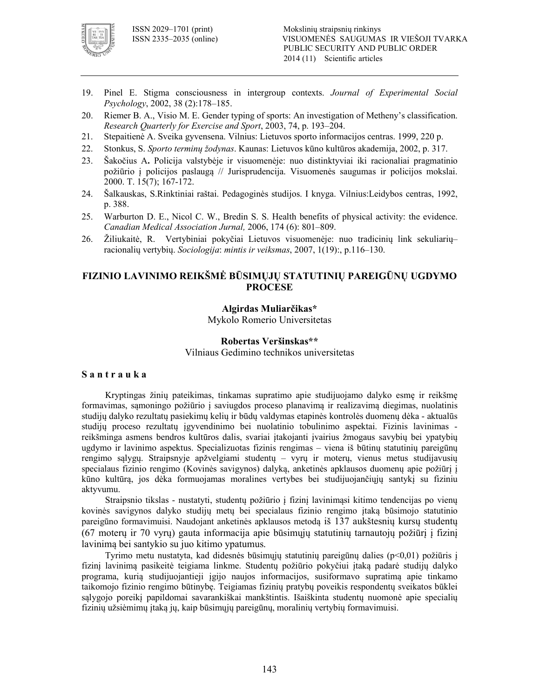

- 19. Pinel E. Stigma consciousness in intergroup contexts. *Journal of Experimental Social Psychology*, 2002, 38 (2):178–185.
- 20. Riemer B. A., Visio M. E. Gender typing of sports: An investigation of Metheny's classification. *Research Quarterly for Exercise and Sport*, 2003, 74, p. 193–204.
- 21. Stepaitienė A. Sveika gyvensena. Vilnius: Lietuvos sporto informacijos centras. 1999, 220 p.
- 22. Stonkus, S. *Sporto terminų žodynas*. Kaunas: Lietuvos kūno kultūros akademija, 2002, p. 317.
- 23. Šakočius A**.** Policija valstybėje ir visuomenėje: nuo distinktyviai iki racionaliai pragmatinio požiūrio į policijos paslaugą // Jurisprudencija. Visuomenės saugumas ir policijos mokslai. 2000. T. 15(7); 167-172.
- 24. Šalkauskas, S.Rinktiniai raštai. Pedagoginės studijos. I knyga. Vilnius:Leidybos centras, 1992, p. 388.
- 25. Warburton D. E., Nicol C. W., Bredin S. S. Health benefits of physical activity: the evidence. *Canadian Medical Association Jurnal,* 2006, 174 (6): 801–809.
- 26. Žiliukaitė, R. Vertybiniai pokyčiai Lietuvos visuomenėje: nuo tradicinių link sekuliarių– racionalių vertybių. *Sociologija*: *mintis ir veiksmas*, 2007, 1(19):, p.116–130.

# **FIZINIO LAVINIMO REIKŠMĖ BŪSIMŲJŲ STATUTINIŲ PAREIGŪNŲ UGDYMO PROCESE**

#### **Algirdas Muliarčikas\***

Mykolo Romerio Universitetas

#### **Robertas Veršinskas\*\***

Vilniaus Gedimino technikos universitetas

### **S a n t r a u k a**

Kryptingas žinių pateikimas, tinkamas supratimo apie studijuojamo dalyko esmę ir reikšmę formavimas, sąmoningo požiūrio į saviugdos proceso planavimą ir realizavimą diegimas, nuolatinis studijų dalyko rezultatų pasiekimų kelių ir būdų valdymas etapinės kontrolės duomenų dėka aktualūs studijų proceso rezultatų įgyvendinimo bei nuolatinio tobulinimo aspektai. Fizinis lavinimas reikšminga asmens bendros kultūros dalis, svariai įtakojanti įvairius žmogaus savybių bei ypatybių ugdymo ir lavinimo aspektus. Specializuotas fizinis rengimas – viena iš būtinų statutinių pareigūnų rengimo sąlygų. Straipsnyje apžvelgiami studentų – vyrų ir moterų, vienus metus studijavusių specialaus fizinio rengimo (Kovinės savigynos) dalyką, anketinės apklausos duomenų apie požiūrį į kūno kultūrą, jos dėka formuojamas moralines vertybes bei studijuojančiųjų santykį su fiziniu aktyvumu.

Straipsnio tikslas - nustatyti, studentų požiūrio į fizinį lavinimąsi kitimo tendencijas po vienų kovinės savigynos dalyko studijų metų bei specialaus fizinio rengimo įtaką būsimojo statutinio pareigūno formavimuisi. Naudojant anketinės apklausos metodą iš 137 aukštesnių kursų studentų (67 moterų ir 70 vyrų) gauta informacija apie būsimųjų statutinių tarnautojų požiūrį į fizinį lavinimą bei santykio su juo kitimo ypatumus.

Tyrimo metu nustatyta, kad didesnės būsimųjų statutinių pareigūnų dalies (p<0,01) požiūris į fizinį lavinimą pasikeitė teigiama linkme. Studentų požiūrio pokyčiui įtaką padarė studijų dalyko programa, kurią studijuojantieji įgijo naujos informacijos, susiformavo supratimą apie tinkamo taikomojo fizinio rengimo būtinybę. Teigiamas fizinių pratybų poveikis respondentų sveikatos būklei sąlygojo poreikį papildomai savarankiškai mankštintis. Išaiškinta studentų nuomonė apie specialių fizinių užsiėmimų įtaką jų, kaip būsimųjų pareigūnų, moralinių vertybių formavimuisi.